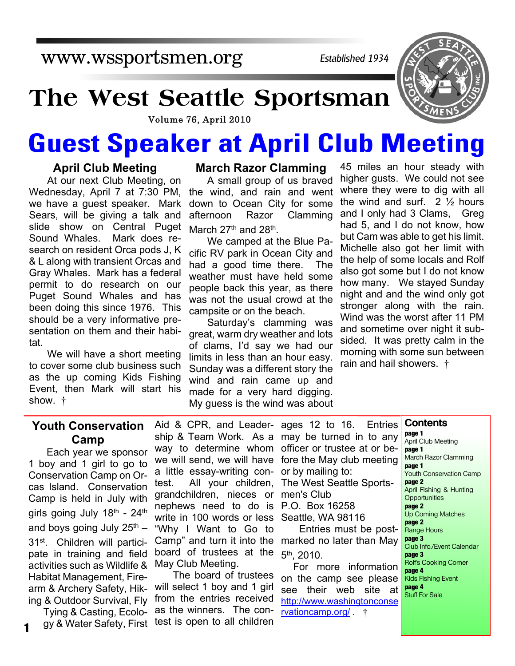www.wssportsmen.org

*Established 1934*

## **The West Seattle Sportsman**

Volume 76, April 2010

# **Guest Speaker at April Club Meeting**

#### **April Club Meeting**

At our next Club Meeting, on Wednesday, April 7 at 7:30 PM, we have a guest speaker. Mark Sears, will be giving a talk and slide show on Central Puget Sound Whales. Mark does research on resident Orca pods J, K & L along with transient Orcas and Gray Whales. Mark has a federal permit to do research on our Puget Sound Whales and has been doing this since 1976. This should be a very informative presentation on them and their habitat.

We will have a short meeting to cover some club business such as the up coming Kids Fishing Event, then Mark will start his show. †

#### **March Razor Clamming**

A small group of us braved the wind, and rain and went down to Ocean City for some afternoon Razor Clamming March 27<sup>th</sup> and 28<sup>th</sup>.

We camped at the Blue Pacific RV park in Ocean City and had a good time there. The weather must have held some people back this year, as there was not the usual crowd at the campsite or on the beach.

Saturday's clamming was great, warm dry weather and lots of clams, I'd say we had our limits in less than an hour easy. Sunday was a different story the wind and rain came up and made for a very hard digging. My guess is the wind was about

45 miles an hour steady with higher gusts. We could not see where they were to dig with all the wind and surf.  $2 \frac{1}{2}$  hours and I only had 3 Clams, Greg had 5, and I do not know, how but Cam was able to get his limit. Michelle also got her limit with the help of some locals and Rolf also got some but I do not know how many. We stayed Sunday night and and the wind only got stronger along with the rain. Wind was the worst after 11 PM and sometime over night it subsided. It was pretty calm in the morning with some sun between rain and hail showers. †

#### **Youth Conservation Camp**

Each year we sponsor 1 boy and 1 girl to go to Conservation Camp on Orcas Island. Conservation Camp is held in July with girls going July 18th - 24th and boys going July 25<sup>th</sup> – 31st. Children will participate in training and field activities such as Wildlife & Habitat Management, Firearm & Archery Safety, Hiking & Outdoor Survival, Fly

Tying & Casting, Ecology & Water Safety, First

**1**

Aid & CPR, and Leader-ages 12 to 16. Entries ship & Team Work. As a may be turned in to any way to determine whom officer or trustee at or bewe will send, we will have fore the May club meeting a little essay-writing contest. All your children, grandchildren, nieces or nephews need to do is write in 100 words or less "Why I Want to Go to Camp" and turn it into the board of trustees at the May Club Meeting.

The board of trustees will select 1 boy and 1 girl from the entries received as the winners. The contest is open to all children

or by mailing to: The West Seattle Sportsmen's Club P.O. Box 16258 Seattle, WA 98116 Entries must be postmarked no later than May 5<sup>th</sup>, 2010.

For more information on the camp see please see their web site at http://www.washingtonconse rvationcamp.org/ . †

**Contents page 1** April Club Meeting **page 1** March Razor Clamming **page 1** Youth Conservation Camp **page 2** April Fishing & Hunting **Opportunities page 2** Up Coming Matches **page 2** Range Hours **page 3** Club Info./Event Calendar **page 3** Rolf's Cooking Corner **page 4** Kids Fishing Event **page 4** Stuff For Sale

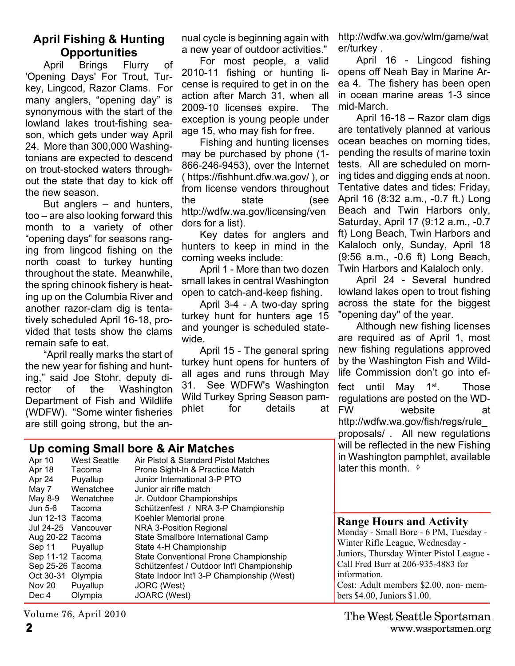#### **April Fishing & Hunting Opportunities**

April Brings Flurry of 'Opening Days' For Trout, Turkey, Lingcod, Razor Clams. For many anglers, "opening day" is synonymous with the start of the lowland lakes trout-fishing season, which gets under way April 24. More than 300,000 Washingtonians are expected to descend on trout-stocked waters throughout the state that day to kick off the new season.

But anglers – and hunters, too – are also looking forward this month to a variety of other "opening days" for seasons ranging from lingcod fishing on the north coast to turkey hunting throughout the state. Meanwhile, the spring chinook fishery is heating up on the Columbia River and another razor-clam dig is tentatively scheduled April 16-18, provided that tests show the clams remain safe to eat.

"April really marks the start of the new year for fishing and hunting," said Joe Stohr, deputy director of the Washington Department of Fish and Wildlife (WDFW). "Some winter fisheries are still going strong, but the an-

**Up coming Small bore & Air Matches**

nual cycle is beginning again with a new year of outdoor activities."

For most people, a valid 2010-11 fishing or hunting license is required to get in on the action after March 31, when all 2009-10 licenses expire. The exception is young people under age 15, who may fish for free.

Fishing and hunting licenses may be purchased by phone (1- 866-246-9453), over the Internet ( https://fishhunt.dfw.wa.gov/ ), or from license vendors throughout the state (see http://wdfw.wa.gov/licensing/ven dors for a list).

Key dates for anglers and hunters to keep in mind in the coming weeks include:

April 1 - More than two dozen small lakes in central Washington open to catch-and-keep fishing.

April 3-4 - A two-day spring turkey hunt for hunters age 15 and younger is scheduled statewide.

April 15 - The general spring turkey hunt opens for hunters of all ages and runs through May 31. See WDFW's Washington Wild Turkey Spring Season pamphlet for details at http://wdfw.wa.gov/wlm/game/wat er/turkey .

April 16 - Lingcod fishing opens off Neah Bay in Marine Area 4. The fishery has been open in ocean marine areas 1-3 since mid-March.

April 16-18 – Razor clam digs are tentatively planned at various ocean beaches on morning tides, pending the results of marine toxin tests. All are scheduled on morning tides and digging ends at noon. Tentative dates and tides: Friday, April 16 (8:32 a.m., -0.7 ft.) Long Beach and Twin Harbors only, Saturday, April 17 (9:12 a.m., -0.7 ft) Long Beach, Twin Harbors and Kalaloch only, Sunday, April 18 (9:56 a.m., -0.6 ft) Long Beach, Twin Harbors and Kalaloch only.

April 24 - Several hundred lowland lakes open to trout fishing across the state for the biggest "opening day" of the year.

Although new fishing licenses are required as of April 1, most new fishing regulations approved by the Washington Fish and Wildlife Commission don't go into effect until May 1<sup>st</sup>. Those regulations are posted on the WD-FW website at http://wdfw.wa.gov/fish/regs/rule\_ proposals/ . All new regulations will be reflected in the new Fishing in Washington pamphlet, available

| Apr 10<br>Apr 18<br>Apr 24<br>May 7<br>May 8-9<br>Jun 5-6<br>Jun 12-13 Tacoma                                           | <b>West Seattle</b><br>Tacoma<br>Puyallup<br>Wenatchee<br>Wenatchee<br>Tacoma | Air Pistol & Standard Pistol Matches<br>Prone Sight-In & Practice Match<br>Junior International 3-P PTO<br>Junior air rifle match<br>Jr. Outdoor Championships<br>Schützenfest / NRA 3-P Championship<br>Koehler Memorial prone                            | in Washington pamphlet, available<br>later this month. $\dagger$                                                                                                                                                                                                                       |
|-------------------------------------------------------------------------------------------------------------------------|-------------------------------------------------------------------------------|------------------------------------------------------------------------------------------------------------------------------------------------------------------------------------------------------------------------------------------------------------|----------------------------------------------------------------------------------------------------------------------------------------------------------------------------------------------------------------------------------------------------------------------------------------|
| Jul 24-25<br>Aug 20-22 Tacoma<br>Sep 11<br>Sep 11-12 Tacoma<br>Sep 25-26 Tacoma<br>Oct 30-31 Olympia<br>Nov 20<br>Dec 4 | Vancouver<br>Puyallup<br>Puyallup<br>Olympia                                  | NRA 3-Position Regional<br>State Smallbore International Camp<br>State 4-H Championship<br>State Conventional Prone Championship<br>Schützenfest / Outdoor Int'l Championship<br>State Indoor Int'l 3-P Championship (West)<br>JORC (West)<br>JOARC (West) | <b>Range Hours and Activity</b><br>Monday - Small Bore - 6 PM, Tuesday -<br>Winter Rifle League, Wednesday -<br>Juniors, Thursday Winter Pistol League -<br>Call Fred Burr at 206-935-4883 for<br>information.<br>Cost: Adult members \$2.00, non-mem-<br>bers \$4.00, Juniors \$1.00. |

Volume 76, April 2010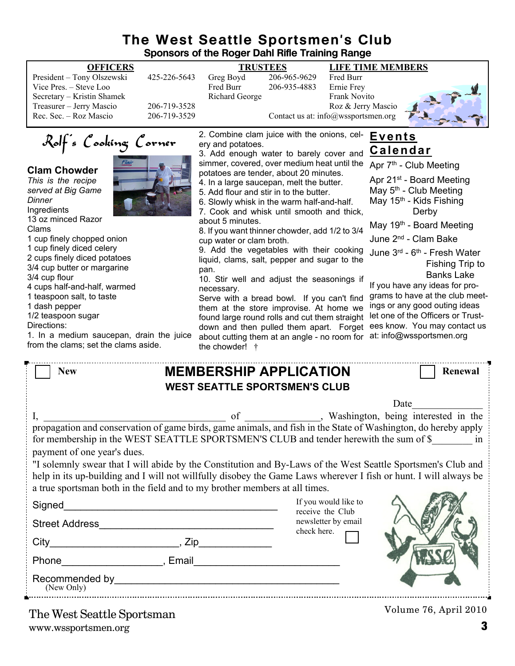## **The West Seattle Sportsmen's Club**

| Sponsors of the Roger Dahl Rifle Training Range                                                                                                                                                                                                                                                                                                                                                                                                                                                                                                                                                                                                          |                                                                                                                                                                                                                                                                                                                                                                                                                                                                                                                                                                                                                                                                                                                                                                                                                                                                                                                                                                                                                                                                                                                                                                                                                                                                                                                                                                                                                                                                                    |  |  |  |
|----------------------------------------------------------------------------------------------------------------------------------------------------------------------------------------------------------------------------------------------------------------------------------------------------------------------------------------------------------------------------------------------------------------------------------------------------------------------------------------------------------------------------------------------------------------------------------------------------------------------------------------------------------|------------------------------------------------------------------------------------------------------------------------------------------------------------------------------------------------------------------------------------------------------------------------------------------------------------------------------------------------------------------------------------------------------------------------------------------------------------------------------------------------------------------------------------------------------------------------------------------------------------------------------------------------------------------------------------------------------------------------------------------------------------------------------------------------------------------------------------------------------------------------------------------------------------------------------------------------------------------------------------------------------------------------------------------------------------------------------------------------------------------------------------------------------------------------------------------------------------------------------------------------------------------------------------------------------------------------------------------------------------------------------------------------------------------------------------------------------------------------------------|--|--|--|
| <b>OFFICERS</b><br>President - Tony Olszewski<br>425-226-5643<br>Vice Pres. - Steve Loo<br>Secretary - Kristin Shamek<br>Treasurer - Jerry Mascio<br>206-719-3528<br>Rec. Sec. - Roz Mascio<br>206-719-3529                                                                                                                                                                                                                                                                                                                                                                                                                                              | <b>TRUSTEES</b><br><b>LIFE TIME MEMBERS</b><br>206-965-9629<br>Greg Boyd<br>Fred Burr<br>Fred Burr<br>206-935-4883<br>Ernie Frey<br><b>Richard George</b><br>Frank Novito<br>Roz & Jerry Mascio<br>Contact us at: info@wssportsmen.org                                                                                                                                                                                                                                                                                                                                                                                                                                                                                                                                                                                                                                                                                                                                                                                                                                                                                                                                                                                                                                                                                                                                                                                                                                             |  |  |  |
| Rolf's Cooking Corner<br><b>Clam Chowder</b><br>This is the recipe<br>served at Big Game<br>Dinner<br>Ingredients<br>13 oz minced Razor<br>Clams<br>1 cup finely chopped onion<br>1 cup finely diced celery<br>2 cups finely diced potatoes<br>3/4 cup butter or margarine<br>3/4 cup flour<br>4 cups half-and-half, warmed<br>1 teaspoon salt, to taste<br>1 dash pepper<br>1/2 teaspoon sugar<br>Directions:<br>1. In a medium saucepan, drain the juice<br>from the clams; set the clams aside.                                                                                                                                                       | 2. Combine clam juice with the onions, cel-<br><u>Events</u><br>ery and potatoes.<br><u>Calendar</u><br>3. Add enough water to barely cover and<br>simmer, covered, over medium heat until the<br>Apr 7 <sup>th</sup> - Club Meeting<br>potatoes are tender, about 20 minutes.<br>Apr 21 <sup>st</sup> - Board Meeting<br>4. In a large saucepan, melt the butter.<br>May 5 <sup>th</sup> - Club Meeting<br>5. Add flour and stir in to the butter.<br>May 15 <sup>th</sup> - Kids Fishing<br>6. Slowly whisk in the warm half-and-half.<br>7. Cook and whisk until smooth and thick,<br>Derby<br>about 5 minutes.<br>May 19 <sup>th</sup> - Board Meeting<br>8. If you want thinner chowder, add 1/2 to 3/4<br>June 2 <sup>nd</sup> - Clam Bake<br>cup water or clam broth.<br>9. Add the vegetables with their cooking<br>June 3rd - 6th - Fresh Water<br>liquid, clams, salt, pepper and sugar to the<br>Fishing Trip to<br>pan.<br><b>Banks Lake</b><br>10. Stir well and adjust the seasonings if<br>If you have any ideas for pro-<br>necessary.<br>grams to have at the club meet-<br>Serve with a bread bowl. If you can't find<br>ings or any good outing ideas<br>them at the store improvise. At home we<br>let one of the Officers or Trust-<br>found large round rolls and cut them straight<br>ees know. You may contact us<br>down and then pulled them apart. Forget<br>at: info@wssportsmen.org<br>about cutting them at an angle - no room for<br>the chowder! † |  |  |  |
| <b>New</b>                                                                                                                                                                                                                                                                                                                                                                                                                                                                                                                                                                                                                                               | <b>MEMBERSHIP APPLICATION</b><br><b>Renewal</b>                                                                                                                                                                                                                                                                                                                                                                                                                                                                                                                                                                                                                                                                                                                                                                                                                                                                                                                                                                                                                                                                                                                                                                                                                                                                                                                                                                                                                                    |  |  |  |
| <b>WEST SEATTLE SPORTSMEN'S CLUB</b><br>Date<br>Washington, being interested in the<br>of<br>propagation and conservation of game birds, game animals, and fish in the State of Washington, do hereby apply<br>for membership in the WEST SEATTLE SPORTSMEN'S CLUB and tender herewith the sum of \$ in<br>payment of one year's dues.<br>"I solemnly swear that I will abide by the Constitution and By-Laws of the West Seattle Sportsmen's Club and<br>help in its up-building and I will not willfully disobey the Game Laws wherever I fish or hunt. I will always be<br>a true sportsman both in the field and to my brother members at all times. |                                                                                                                                                                                                                                                                                                                                                                                                                                                                                                                                                                                                                                                                                                                                                                                                                                                                                                                                                                                                                                                                                                                                                                                                                                                                                                                                                                                                                                                                                    |  |  |  |
| Signed<br><u> 1989 - Jan Barbara, martxa al II-lea (h. 1989).</u><br><b>Street Address</b>                                                                                                                                                                                                                                                                                                                                                                                                                                                                                                                                                               | If you would like to<br>receive the Club<br>newsletter by email                                                                                                                                                                                                                                                                                                                                                                                                                                                                                                                                                                                                                                                                                                                                                                                                                                                                                                                                                                                                                                                                                                                                                                                                                                                                                                                                                                                                                    |  |  |  |

check here.



Volume 76, April 2010

(New Only)

 $City$   $City$   $Zip$ 

Phone\_\_\_\_\_\_\_\_\_\_\_\_\_\_\_\_\_\_, Email\_\_\_\_\_\_\_\_\_\_\_\_\_\_\_\_\_\_\_\_\_\_\_\_\_\_

Recommended by\_\_\_\_\_\_\_\_\_\_\_\_\_\_\_\_\_\_\_\_\_\_\_\_\_\_\_\_\_\_\_\_\_\_\_\_\_\_\_\_